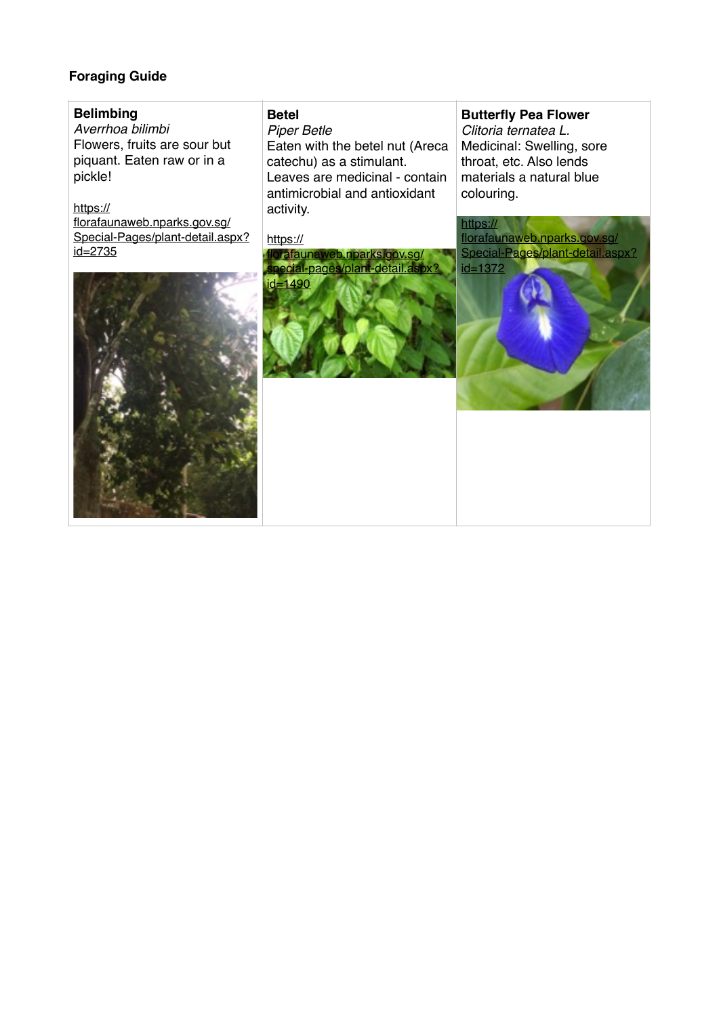# **Foraging Guide**

# **Belimbing**

*Averrhoa bilimbi*  Flowers, fruits are sour but piquant. Eaten raw or in a pickle!

# https://

florafaunaweb.nparks.gov.sg/ [Special-Pages/plant-detail.aspx?](https://florafaunaweb.nparks.gov.sg/Special-Pages/plant-detail.aspx?id=2735) id=2735

# **Betel**

*Piper Betle*

Eaten with the betel nut (Areca catechu) as a stimulant. Leaves are medicinal - contain antimicrobial and antioxidant activity.

#### https://



# **Butterfly Pea Flower**

*Clitoria ternatea L.* Medicinal: Swelling, sore throat, etc. Also lends materials a natural blue colouring.

https:// florafaunaweb.nparks.gov.sg/ [Special-Pages/plant-detail.aspx?](https://florafaunaweb.nparks.gov.sg/Special-Pages/plant-detail.aspx?id=1372)  $id = 1372$ 

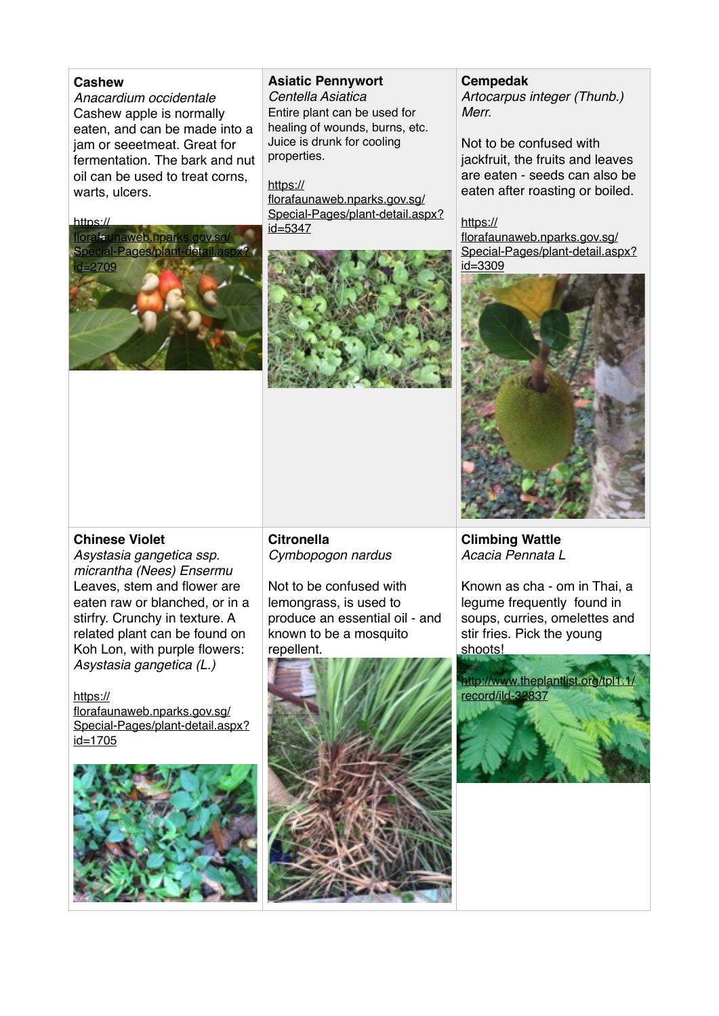## **Cashew**

*Anacardium occidentale* Cashew apple is normally eaten, and can be made into a jam or seeetmeat. Great for fermentation. The bark and nut oil can be used to treat corns, warts, ulcers.

#### $http://$



# **Asiatic Pennywort**

*Centella Asiatica*  Entire plant can be used for healing of wounds, burns, etc. Juice is drunk for cooling properties.

https:// florafaunaweb.nparks.gov.sg/ [Special-Pages/plant-detail.aspx?](https://florafaunaweb.nparks.gov.sg/Special-Pages/plant-detail.aspx?id=5347) id=5347



#### **Cempedak**

*Artocarpus integer (Thunb.) Merr.*

Not to be confused with jackfruit, the fruits and leaves are eaten - seeds can also be eaten after roasting or boiled.

https://

florafaunaweb.nparks.gov.sg/ [Special-Pages/plant-detail.aspx?](https://florafaunaweb.nparks.gov.sg/Special-Pages/plant-detail.aspx?id=3309) id=3309



**Climbing Wattle**  *Acacia Pennata L*

Known as cha - om in Thai, a legume frequently found in soups, curries, omelettes and stir fries. Pick the young shoots!

# **Chinese Violet**

*Asystasia gangetica ssp. micrantha (Nees) Ensermu* Leaves, stem and flower are eaten raw or blanched, or in a stirfry. Crunchy in texture. A related plant can be found on Koh Lon, with purple flowers: *Asystasia gangetica (L.)*

https:// florafaunaweb.nparks.gov.sg/ [Special-Pages/plant-detail.aspx?](https://florafaunaweb.nparks.gov.sg/Special-Pages/plant-detail.aspx?id=1705) id=1705



**Citronella** *Cymbopogon nardus*

Not to be confused with lemongrass, is used to produce an essential oil - and known to be a mosquito repellent.



[http://www.theplantlist.org/tpl1.1/](http://www.theplantlist.org/tpl1.1/record/ild-32837) record/ild-32837

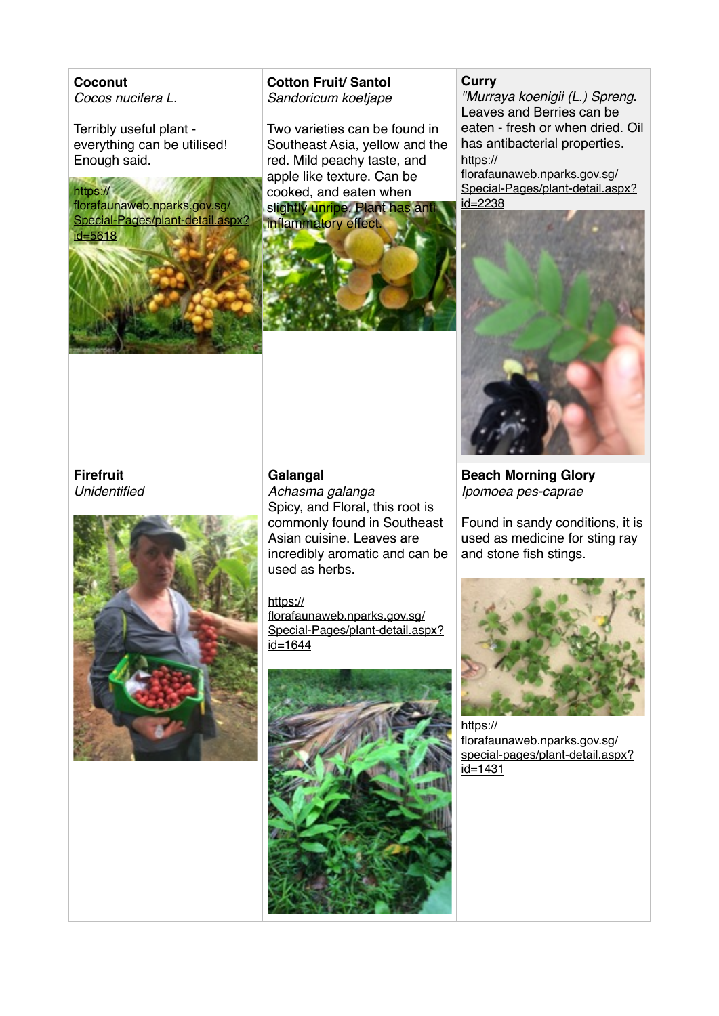**Coconut** *Cocos nucifera L.*

Terribly useful plant everything can be utilised! Enough said.

#### https://

florafaunaweb.nparks.gov.sg/ [Special-Pages/plant-detail.aspx?](https://florafaunaweb.nparks.gov.sg/Special-Pages/plant-detail.aspx?id=5618) id=5618



# **Cotton Fruit/ Santol** *Sandoricum koetjape*

Two varieties can be found in Southeast Asia, yellow and the red. Mild peachy taste, and apple like texture. Can be cooked, and eaten when slightly unripe. Plant has ant inflammatory effect.



# **Curry**

*"Murraya koenigii (L.) Spreng***.** Leaves and Berries can be eaten - fresh or when dried. Oil has antibacterial properties. https://

florafaunaweb.nparks.gov.sg/ [Special-Pages/plant-detail.aspx?](https://florafaunaweb.nparks.gov.sg/Special-Pages/plant-detail.aspx?id=2238) id=2238



# **Firefruit** *Unidentified*



## **Galangal**

*Achasma galanga* Spicy, and Floral, this root is commonly found in Southeast Asian cuisine. Leaves are incredibly aromatic and can be used as herbs.

#### https://

florafaunaweb.nparks.gov.sg/ [Special-Pages/plant-detail.aspx?](https://florafaunaweb.nparks.gov.sg/Special-Pages/plant-detail.aspx?id=1644)  $id = 1644$ 



**Beach Morning Glory** *Ipomoea pes-caprae* 

Found in sandy conditions, it is used as medicine for sting ray and stone fish stings.



https:// florafaunaweb.nparks.gov.sg/ [special-pages/plant-detail.aspx?](https://florafaunaweb.nparks.gov.sg/special-pages/plant-detail.aspx?id=1431) id=1431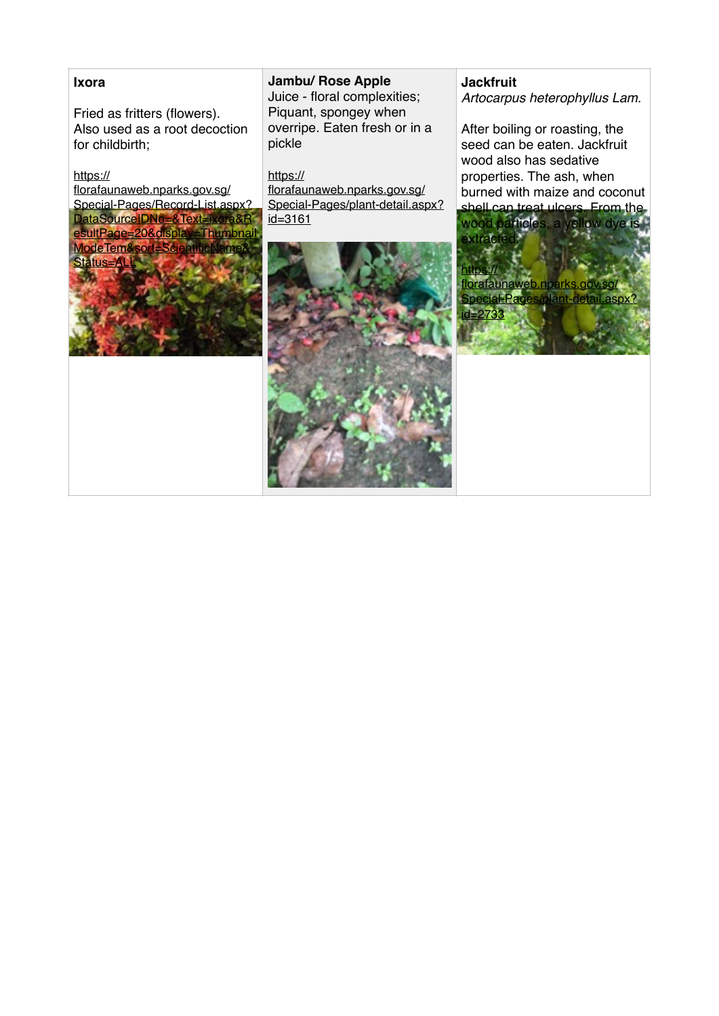#### **Ixora**

Fried as fritters (flowers). Also used as a root decoction for childbirth;

#### https://

florafaunaweb.nparks.gov.sg/ Special-Pages/Record-List.aspx? DataSourceIDNo=&Text=ixora&R [esultPage=20&display=Thumbnail](https://florafaunaweb.nparks.gov.sg/Special-Pages/Record-List.aspx?DataSourceIDNo=&Text=ixora&ResultPage=20&display=ThumbnailModeTem&sort=ScientificName&Status=ALL) ModeTem&sort=ScientificNam Status=ALL

## **Jambu/ Rose Apple**

Juice - floral complexities; Piquant, spongey when overripe. Eaten fresh or in a pickle

https://

florafaunaweb.nparks.gov.sg/ [Special-Pages/plant-detail.aspx?](https://florafaunaweb.nparks.gov.sg/Special-Pages/plant-detail.aspx?id=3161) id=3161



#### **Jackfruit**

*Artocarpus heterophyllus Lam.*

After boiling or roasting, the seed can be eaten. Jackfruit wood also has sedative properties. The ash, when burned with maize and coconut

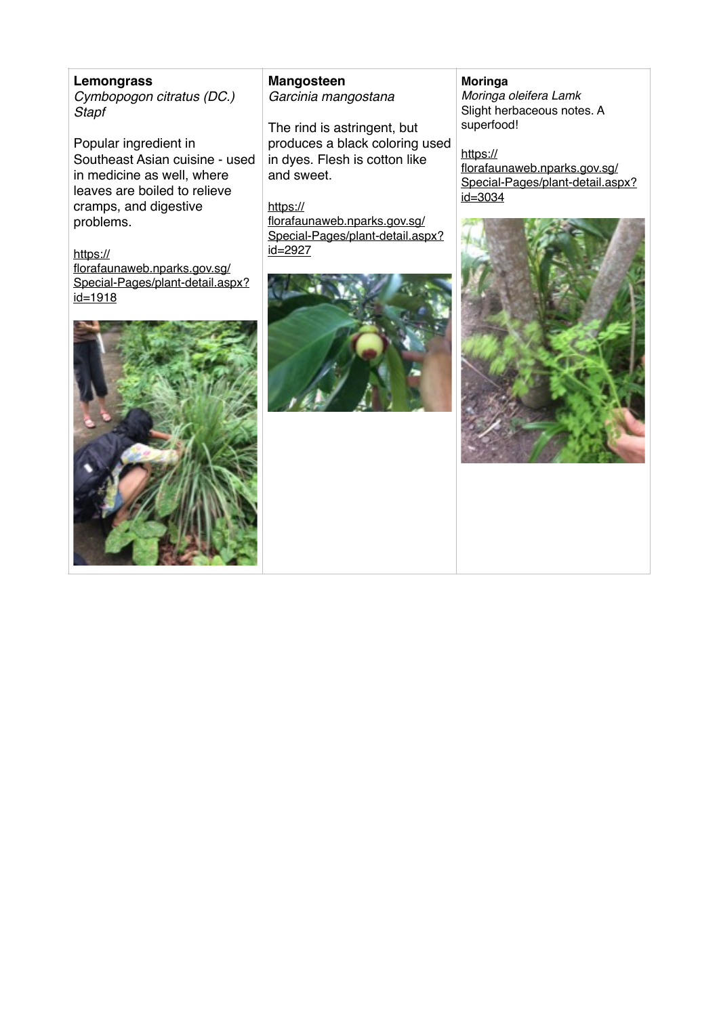**Lemongrass** *Cymbopogon citratus (DC.) Stapf*

Popular ingredient in Southeast Asian cuisine - used in medicine as well, where leaves are boiled to relieve cramps, and digestive problems.

#### https://

florafaunaweb.nparks.gov.sg/ [Special-Pages/plant-detail.aspx?](https://florafaunaweb.nparks.gov.sg/Special-Pages/plant-detail.aspx?id=1918)  $id = 1918$ 



**Mangosteen** *Garcinia mangostana* 

The rind is astringent, but produces a black coloring used in dyes. Flesh is cotton like and sweet.

https:// florafaunaweb.nparks.gov.sg/ [Special-Pages/plant-detail.aspx?](https://florafaunaweb.nparks.gov.sg/Special-Pages/plant-detail.aspx?id=2927) id=2927



#### **Moringa**

*Moringa oleifera Lamk* Slight herbaceous notes. A superfood!

https:// florafaunaweb.nparks.gov.sg/ [Special-Pages/plant-detail.aspx?](https://florafaunaweb.nparks.gov.sg/Special-Pages/plant-detail.aspx?id=3034) id=3034

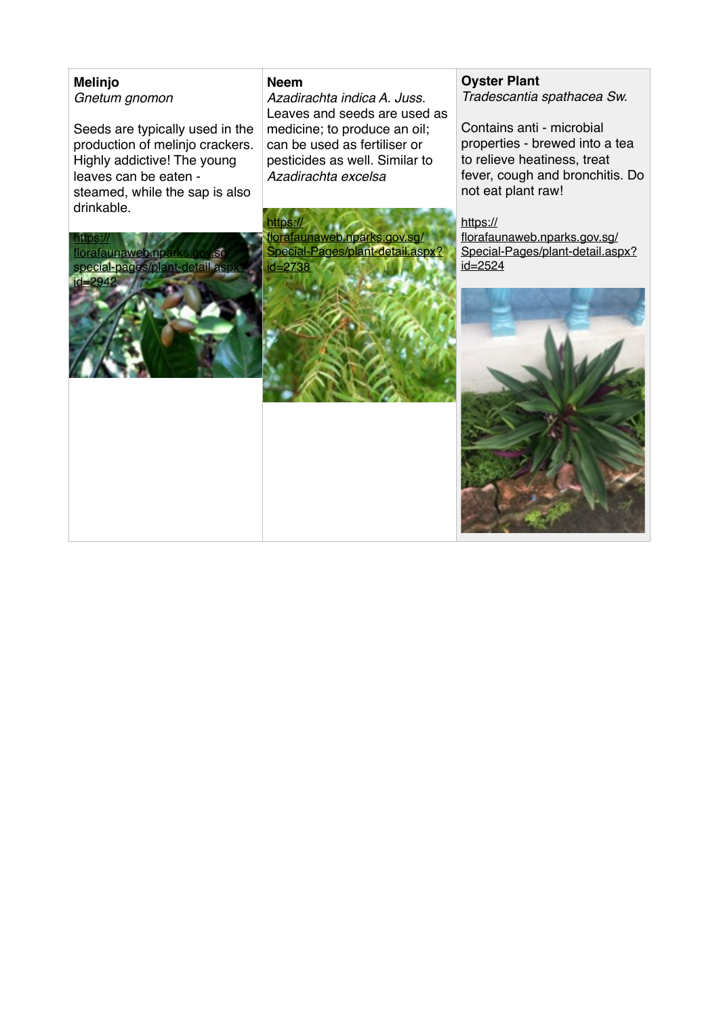# **Melinjo** *Gnetum gnomon*

Seeds are typically used in the production of melinjo crackers. Highly addictive! The young leaves can be eaten steamed, while the sap is also drinkable.

#### **Neem**

*Azadirachta indica A. Juss.* Leaves and seeds are used as medicine; to produce an oil; can be used as fertiliser or pesticides as well. Similar to *Azadirachta excelsa*

https:// florafaunaweb.nparks.gov.sg/ [Special-Pages/plant-detail.aspx?](https://florafaunaweb.nparks.gov.sg/Special-Pages/plant-detail.aspx?id=2738) id=2738



Contains anti - microbial properties - brewed into a tea to relieve heatiness, treat fever, cough and bronchitis. Do not eat plant raw!

https://

florafaunaweb.nparks.gov.sg/ [Special-Pages/plant-detail.aspx?](https://florafaunaweb.nparks.gov.sg/Special-Pages/plant-detail.aspx?id=2524) id=2524



https:// florafaunaweb special-pages/plant-detail.as id=2942

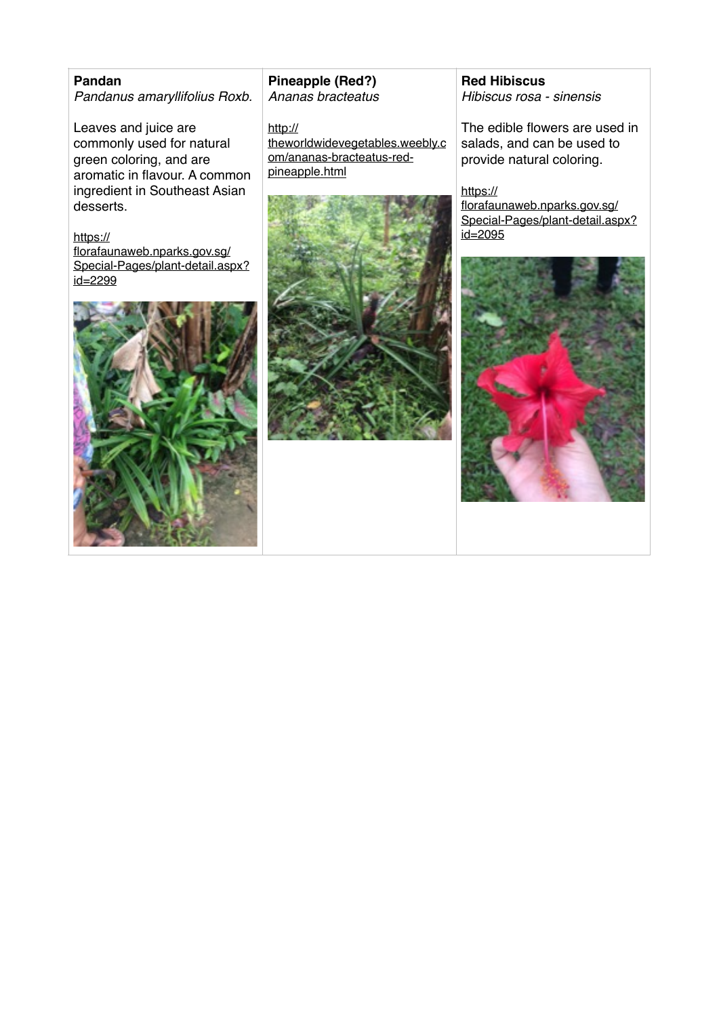# **Pandan** *Pandanus amaryllifolius Roxb.*

Leaves and juice are commonly used for natural green coloring, and are aromatic in flavour. A common ingredient in Southeast Asian desserts.

## https://

florafaunaweb.nparks.gov.sg/ [Special-Pages/plant-detail.aspx?](https://florafaunaweb.nparks.gov.sg/Special-Pages/plant-detail.aspx?id=2299) id=2299



**Pineapple (Red?)** *Ananas bracteatus*

http:// [theworldwidevegetables.weebly.c](http://theworldwidevegetables.weebly.com/ananas-bracteatus-red-pineapple.html) om/ananas-bracteatus-redpineapple.html



**Red Hibiscus** *Hibiscus rosa - sinensis*

The edible flowers are used in salads, and can be used to provide natural coloring.

https:// florafaunaweb.nparks.gov.sg/ [Special-Pages/plant-detail.aspx?](https://florafaunaweb.nparks.gov.sg/Special-Pages/plant-detail.aspx?id=2095)  $id = 2095$ 

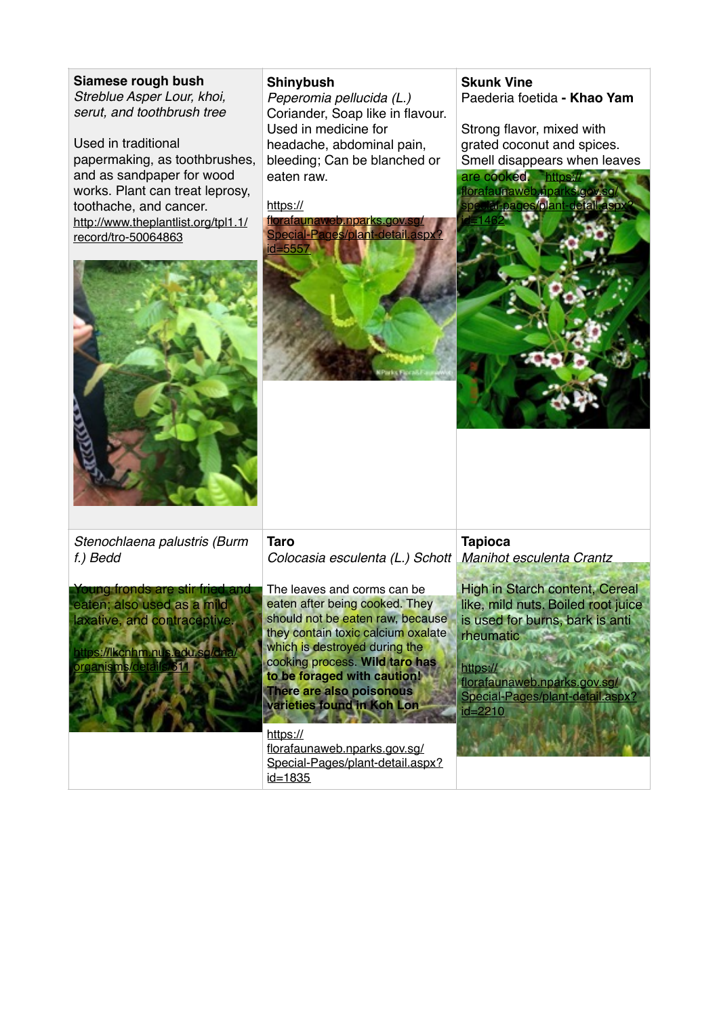# **Siamese rough bush**

*Streblue Asper Lour, khoi, serut, and toothbrush tree* 

Used in traditional papermaking, as toothbrushes, and as sandpaper for wood works. Plant can treat leprosy, toothache, and cancer. [http://www.theplantlist.org/tpl1.1/](http://www.theplantlist.org/tpl1.1/record/tro-50064863) record/tro-50064863

### **Shinybush**

*Peperomia pellucida (L.)* Coriander, Soap like in flavour. Used in medicine for headache, abdominal pain, bleeding; Can be blanched or eaten raw.

https://

florafaunaweb.nparks.gov. [Special-Pages/plant-detail.aspx?](https://florafaunaweb.nparks.gov.sg/Special-Pages/plant-detail.aspx?id=5557) id=5557

# **Skunk Vine** Paederia foetida **- Khao Yam**

Strong flavor, mixed with grated coconut and spices. Smell disappears when leaves are cooked. https:// florafaunaweb.npa af-pages/plant





*Stenochlaena palustris (Burm f.) Bedd* 



**Taro** *Colocasia esculenta (L.) Schott*

The leaves and corms can be eaten after being cooked. They should not be eaten raw, because they contain toxic calcium oxalate which is destroyed during the cooking process. **Wild taro has to be foraged with caution! There are also poisonous varieties found in Koh Lon**

#### https://

florafaunaweb.nparks.gov.sg/ [Special-Pages/plant-detail.aspx?](https://florafaunaweb.nparks.gov.sg/Special-Pages/plant-detail.aspx?id=1835) id=1835

**Tapioca**  *Manihot esculenta Crantz*

High in Starch content, Cereal like, mild nuts. Boiled root juice is used for burns, bark is anti rheumatic

https://

florafaunaweb.nparks.gov.sg/ Special-Pages/plant-detail.aspx id=2210